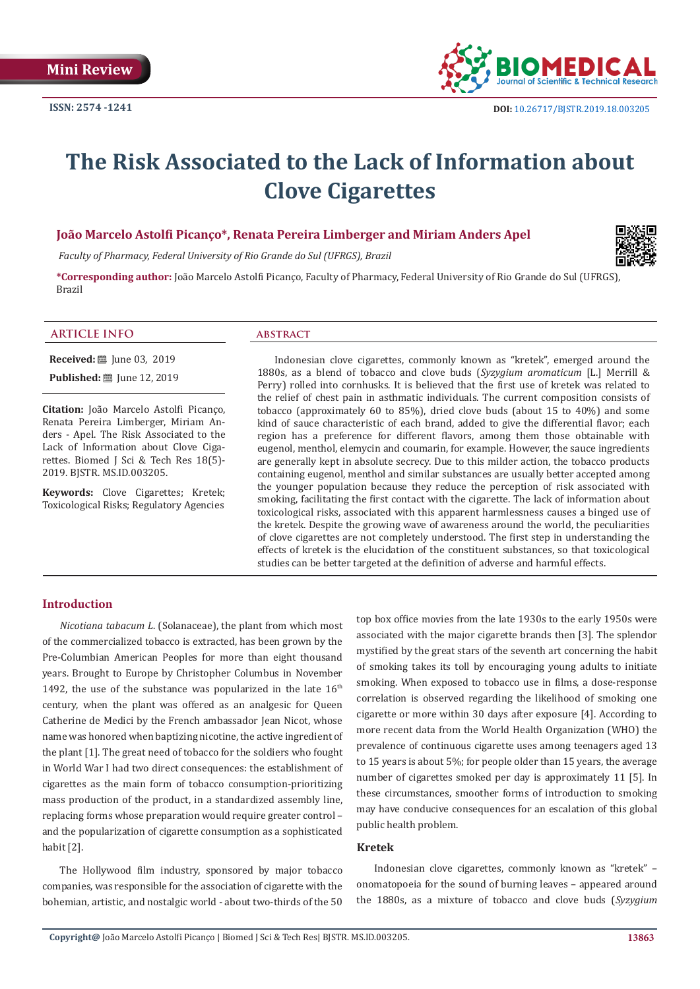

# **The Risk Associated to the Lack of Information about Clove Cigarettes**

### **João Marcelo Astolfi Picanço\*, Renata Pereira Limberger and Miriam Anders Apel**

 *Faculty of Pharmacy, Federal University of Rio Grande do Sul (UFRGS), Brazil*



**\*Corresponding author:** João Marcelo Astolfi Picanço, Faculty of Pharmacy, Federal University of Rio Grande do Sul (UFRGS), Brazil

#### **ARTICLE INFO abstract**

**Received:** ■ June 03, 2019

**Published:** ■ June 12, 2019

**Citation:** João Marcelo Astolfi Picanço, Renata Pereira Limberger, Miriam Anders - Apel. The Risk Associated to the Lack of Information about Clove Cigarettes. Biomed J Sci & Tech Res 18(5)- 2019. BJSTR. MS.ID.003205.

**Keywords:** Clove Cigarettes; Kretek; Toxicological Risks; Regulatory Agencies

Indonesian clove cigarettes, commonly known as "kretek", emerged around the 1880s, as a blend of tobacco and clove buds (*Syzygium aromaticum* [L.] Merrill & Perry) rolled into cornhusks. It is believed that the first use of kretek was related to the relief of chest pain in asthmatic individuals. The current composition consists of tobacco (approximately 60 to 85%), dried clove buds (about 15 to 40%) and some kind of sauce characteristic of each brand, added to give the differential flavor; each region has a preference for different flavors, among them those obtainable with eugenol, menthol, elemycin and coumarin, for example. However, the sauce ingredients are generally kept in absolute secrecy. Due to this milder action, the tobacco products containing eugenol, menthol and similar substances are usually better accepted among the younger population because they reduce the perception of risk associated with smoking, facilitating the first contact with the cigarette. The lack of information about toxicological risks, associated with this apparent harmlessness causes a binged use of the kretek. Despite the growing wave of awareness around the world, the peculiarities of clove cigarettes are not completely understood. The first step in understanding the effects of kretek is the elucidation of the constituent substances, so that toxicological studies can be better targeted at the definition of adverse and harmful effects.

# **Introduction**

*Nicotiana tabacum L*. (Solanaceae), the plant from which most of the commercialized tobacco is extracted, has been grown by the Pre-Columbian American Peoples for more than eight thousand years. Brought to Europe by Christopher Columbus in November 1492, the use of the substance was popularized in the late  $16<sup>th</sup>$ century, when the plant was offered as an analgesic for Queen Catherine de Medici by the French ambassador Jean Nicot, whose name was honored when baptizing nicotine, the active ingredient of the plant [1]. The great need of tobacco for the soldiers who fought in World War I had two direct consequences: the establishment of cigarettes as the main form of tobacco consumption-prioritizing mass production of the product, in a standardized assembly line, replacing forms whose preparation would require greater control – and the popularization of cigarette consumption as a sophisticated habit [2].

The Hollywood film industry, sponsored by major tobacco companies, was responsible for the association of cigarette with the bohemian, artistic, and nostalgic world - about two-thirds of the 50

top box office movies from the late 1930s to the early 1950s were associated with the major cigarette brands then [3]. The splendor mystified by the great stars of the seventh art concerning the habit of smoking takes its toll by encouraging young adults to initiate smoking. When exposed to tobacco use in films, a dose-response correlation is observed regarding the likelihood of smoking one cigarette or more within 30 days after exposure [4]. According to more recent data from the World Health Organization (WHO) the prevalence of continuous cigarette uses among teenagers aged 13 to 15 years is about 5%; for people older than 15 years, the average number of cigarettes smoked per day is approximately 11 [5]. In these circumstances, smoother forms of introduction to smoking may have conducive consequences for an escalation of this global public health problem.

## **Kretek**

Indonesian clove cigarettes, commonly known as "kretek" – onomatopoeia for the sound of burning leaves – appeared around the 1880s, as a mixture of tobacco and clove buds (*Syzygium*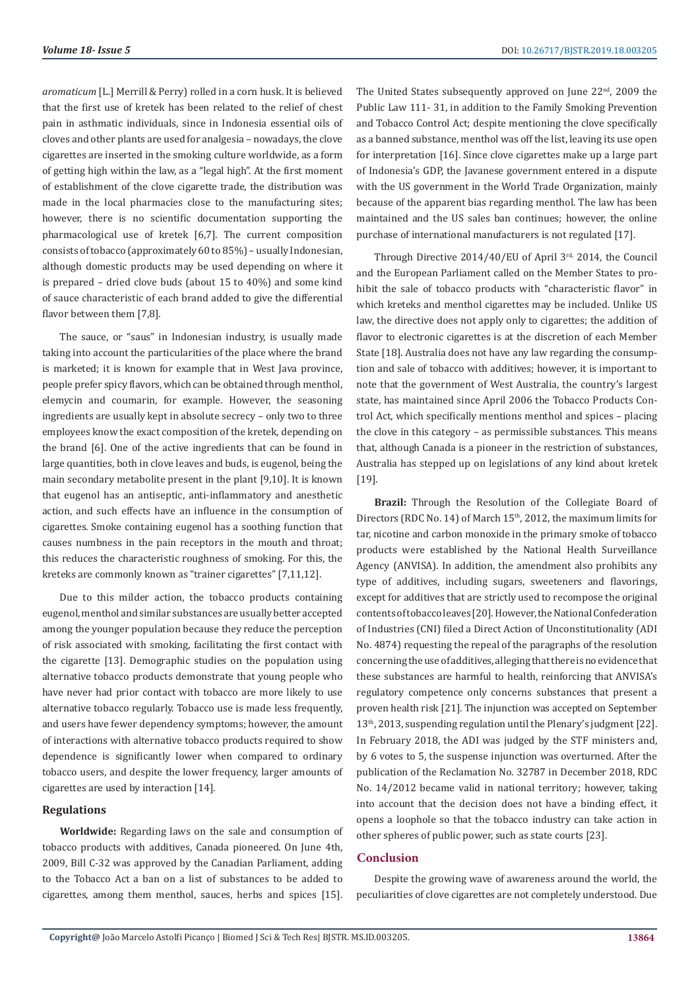*aromaticum* [L.] Merrill & Perry) rolled in a corn husk. It is believed that the first use of kretek has been related to the relief of chest pain in asthmatic individuals, since in Indonesia essential oils of cloves and other plants are used for analgesia – nowadays, the clove cigarettes are inserted in the smoking culture worldwide, as a form of getting high within the law, as a "legal high". At the first moment of establishment of the clove cigarette trade, the distribution was made in the local pharmacies close to the manufacturing sites; however, there is no scientific documentation supporting the pharmacological use of kretek [6,7]. The current composition consists of tobacco (approximately 60 to 85%) – usually Indonesian, although domestic products may be used depending on where it is prepared – dried clove buds (about 15 to 40%) and some kind of sauce characteristic of each brand added to give the differential flavor between them [7,8].

The sauce, or "saus" in Indonesian industry, is usually made taking into account the particularities of the place where the brand is marketed; it is known for example that in West Java province, people prefer spicy flavors, which can be obtained through menthol, elemycin and coumarin, for example. However, the seasoning ingredients are usually kept in absolute secrecy – only two to three employees know the exact composition of the kretek, depending on the brand [6]. One of the active ingredients that can be found in large quantities, both in clove leaves and buds, is eugenol, being the main secondary metabolite present in the plant [9,10]. It is known that eugenol has an antiseptic, anti-inflammatory and anesthetic action, and such effects have an influence in the consumption of cigarettes. Smoke containing eugenol has a soothing function that causes numbness in the pain receptors in the mouth and throat; this reduces the characteristic roughness of smoking. For this, the kreteks are commonly known as "trainer cigarettes" [7,11,12].

Due to this milder action, the tobacco products containing eugenol, menthol and similar substances are usually better accepted among the younger population because they reduce the perception of risk associated with smoking, facilitating the first contact with the cigarette [13]. Demographic studies on the population using alternative tobacco products demonstrate that young people who have never had prior contact with tobacco are more likely to use alternative tobacco regularly. Tobacco use is made less frequently, and users have fewer dependency symptoms; however, the amount of interactions with alternative tobacco products required to show dependence is significantly lower when compared to ordinary tobacco users, and despite the lower frequency, larger amounts of cigarettes are used by interaction [14].

#### **Regulations**

**Worldwide:** Regarding laws on the sale and consumption of tobacco products with additives, Canada pioneered. On June 4th, 2009, Bill C-32 was approved by the Canadian Parliament, adding to the Tobacco Act a ban on a list of substances to be added to cigarettes, among them menthol, sauces, herbs and spices [15]. The United States subsequently approved on June 22<sup>nd</sup>, 2009 the Public Law 111- 31, in addition to the Family Smoking Prevention and Tobacco Control Act; despite mentioning the clove specifically as a banned substance, menthol was off the list, leaving its use open for interpretation [16]. Since clove cigarettes make up a large part of Indonesia's GDP, the Javanese government entered in a dispute with the US government in the World Trade Organization, mainly because of the apparent bias regarding menthol. The law has been maintained and the US sales ban continues; however, the online purchase of international manufacturers is not regulated [17].

Through Directive 2014/40/EU of April 3rd, 2014, the Council and the European Parliament called on the Member States to prohibit the sale of tobacco products with "characteristic flavor" in which kreteks and menthol cigarettes may be included. Unlike US law, the directive does not apply only to cigarettes; the addition of flavor to electronic cigarettes is at the discretion of each Member State [18]. Australia does not have any law regarding the consumption and sale of tobacco with additives; however, it is important to note that the government of West Australia, the country's largest state, has maintained since April 2006 the Tobacco Products Control Act, which specifically mentions menthol and spices – placing the clove in this category – as permissible substances. This means that, although Canada is a pioneer in the restriction of substances, Australia has stepped up on legislations of any kind about kretek [19].

**Brazil:** Through the Resolution of the Collegiate Board of Directors (RDC No. 14) of March 15<sup>th</sup>, 2012, the maximum limits for tar, nicotine and carbon monoxide in the primary smoke of tobacco products were established by the National Health Surveillance Agency (ANVISA). In addition, the amendment also prohibits any type of additives, including sugars, sweeteners and flavorings, except for additives that are strictly used to recompose the original contents of tobacco leaves [20]. However, the National Confederation of Industries (CNI) filed a Direct Action of Unconstitutionality (ADI No. 4874) requesting the repeal of the paragraphs of the resolution concerning the use of additives, alleging that there is no evidence that these substances are harmful to health, reinforcing that ANVISA's regulatory competence only concerns substances that present a proven health risk [21]. The injunction was accepted on September 13<sup>th</sup>, 2013, suspending regulation until the Plenary's judgment [22]. In February 2018, the ADI was judged by the STF ministers and, by 6 votes to 5, the suspense injunction was overturned. After the publication of the Reclamation No. 32787 in December 2018, RDC No. 14/2012 became valid in national territory; however, taking into account that the decision does not have a binding effect, it opens a loophole so that the tobacco industry can take action in other spheres of public power, such as state courts [23].

#### **Conclusion**

Despite the growing wave of awareness around the world, the peculiarities of clove cigarettes are not completely understood. Due